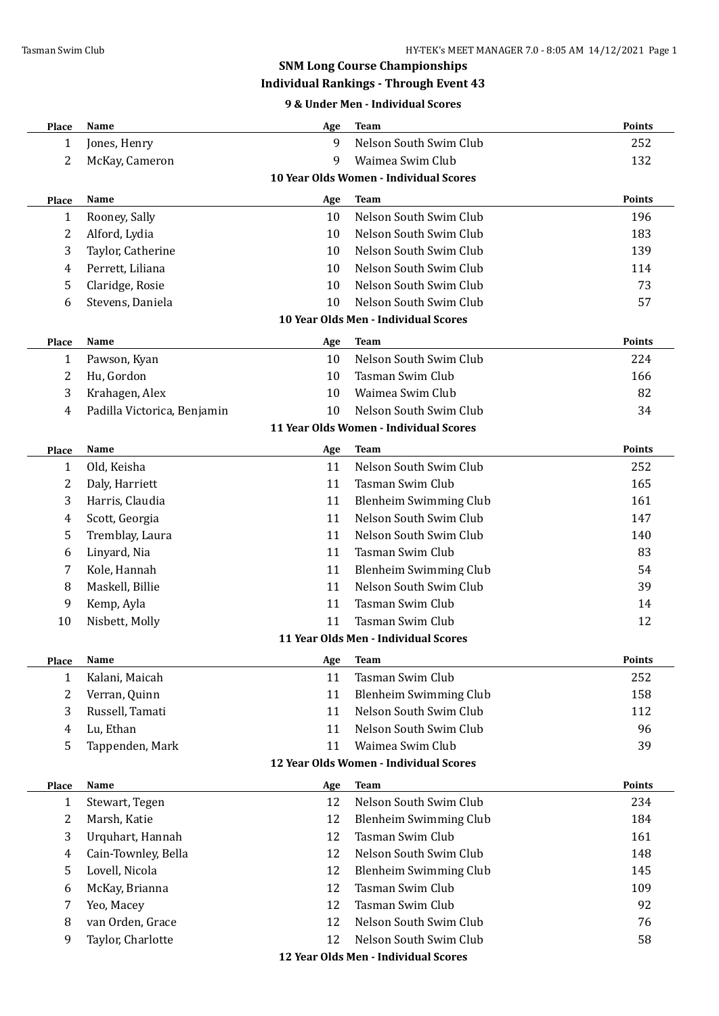## **SNM Long Course Championships**

## **Individual Rankings - Through Event 43**

### **9 & Under Men - Individual Scores**

| Place                                  | Name                            | Age | <b>Team</b>                            | <b>Points</b> |  |
|----------------------------------------|---------------------------------|-----|----------------------------------------|---------------|--|
| 1                                      | Jones, Henry                    | 9   | Nelson South Swim Club                 | 252           |  |
| 2                                      | McKay, Cameron                  | 9   | Waimea Swim Club                       | 132           |  |
| 10 Year Olds Women - Individual Scores |                                 |     |                                        |               |  |
| Place                                  | Name                            | Age | <b>Team</b>                            | <b>Points</b> |  |
| $\mathbf{1}$                           | Rooney, Sally                   | 10  | Nelson South Swim Club                 | 196           |  |
| 2                                      | Alford, Lydia                   | 10  | Nelson South Swim Club                 | 183           |  |
| 3                                      | Taylor, Catherine               | 10  | Nelson South Swim Club                 | 139           |  |
| 4                                      | Perrett, Liliana                | 10  | Nelson South Swim Club                 | 114           |  |
| 5                                      | Claridge, Rosie                 | 10  | Nelson South Swim Club                 | 73            |  |
| 6                                      | Stevens, Daniela                | 10  | Nelson South Swim Club                 | 57            |  |
|                                        |                                 |     | 10 Year Olds Men - Individual Scores   |               |  |
| Place                                  | Name                            | Age | <b>Team</b>                            | <b>Points</b> |  |
| $\mathbf{1}$                           | Pawson, Kyan                    | 10  | Nelson South Swim Club                 | 224           |  |
| 2                                      | Hu, Gordon                      | 10  | Tasman Swim Club                       | 166           |  |
| 3                                      | Krahagen, Alex                  | 10  | Waimea Swim Club                       | 82            |  |
| 4                                      | Padilla Victorica, Benjamin     | 10  | Nelson South Swim Club                 | 34            |  |
|                                        |                                 |     | 11 Year Olds Women - Individual Scores |               |  |
| Place                                  | Name                            | Age | <b>Team</b>                            | <b>Points</b> |  |
| 1                                      | Old, Keisha                     | 11  | Nelson South Swim Club                 | 252           |  |
| 2                                      | Daly, Harriett                  | 11  | Tasman Swim Club                       | 165           |  |
| 3                                      | Harris, Claudia                 | 11  | <b>Blenheim Swimming Club</b>          | 161           |  |
| 4                                      | Scott, Georgia                  | 11  | Nelson South Swim Club                 | 147           |  |
| 5                                      |                                 | 11  | Nelson South Swim Club                 | 140           |  |
|                                        | Tremblay, Laura<br>Linyard, Nia | 11  | Tasman Swim Club                       | 83            |  |
| 6<br>7                                 |                                 | 11  |                                        | 54            |  |
|                                        | Kole, Hannah                    |     | <b>Blenheim Swimming Club</b>          |               |  |
| 8                                      | Maskell, Billie                 | 11  | Nelson South Swim Club                 | 39            |  |
| 9                                      | Kemp, Ayla                      | 11  | <b>Tasman Swim Club</b>                | 14            |  |
| 10                                     | Nisbett, Molly                  | 11  | <b>Tasman Swim Club</b>                | 12            |  |
|                                        |                                 |     | 11 Year Olds Men - Individual Scores   |               |  |
| Place                                  | Name                            | Age | Team                                   | <b>Points</b> |  |
| $\mathbf{1}$                           | Kalani, Maicah                  | 11  | Tasman Swim Club                       | 252           |  |
| 2                                      | Verran, Quinn                   | 11  | <b>Blenheim Swimming Club</b>          | 158           |  |
| 3                                      | Russell, Tamati                 | 11  | Nelson South Swim Club                 | 112           |  |
| 4                                      | Lu, Ethan                       | 11  | Nelson South Swim Club                 | 96            |  |
| 5                                      | Tappenden, Mark                 | 11  | Waimea Swim Club                       | 39            |  |
|                                        |                                 |     | 12 Year Olds Women - Individual Scores |               |  |
| Place                                  | Name                            | Age | Team                                   | <b>Points</b> |  |
| $\mathbf{1}$                           | Stewart, Tegen                  | 12  | Nelson South Swim Club                 | 234           |  |
| 2                                      | Marsh, Katie                    | 12  | <b>Blenheim Swimming Club</b>          | 184           |  |
| 3                                      | Urquhart, Hannah                | 12  | <b>Tasman Swim Club</b>                | 161           |  |
| 4                                      | Cain-Townley, Bella             | 12  | Nelson South Swim Club                 | 148           |  |
| 5                                      | Lovell, Nicola                  | 12  | <b>Blenheim Swimming Club</b>          | 145           |  |
| 6                                      | McKay, Brianna                  | 12  | Tasman Swim Club                       | 109           |  |
| 7                                      | Yeo, Macey                      | 12  | Tasman Swim Club                       | 92            |  |
| 8                                      | van Orden, Grace                | 12  | Nelson South Swim Club                 | 76            |  |
| 9                                      | Taylor, Charlotte               | 12  | Nelson South Swim Club                 | 58            |  |
|                                        |                                 |     | 12 Year Olds Men - Individual Scores   |               |  |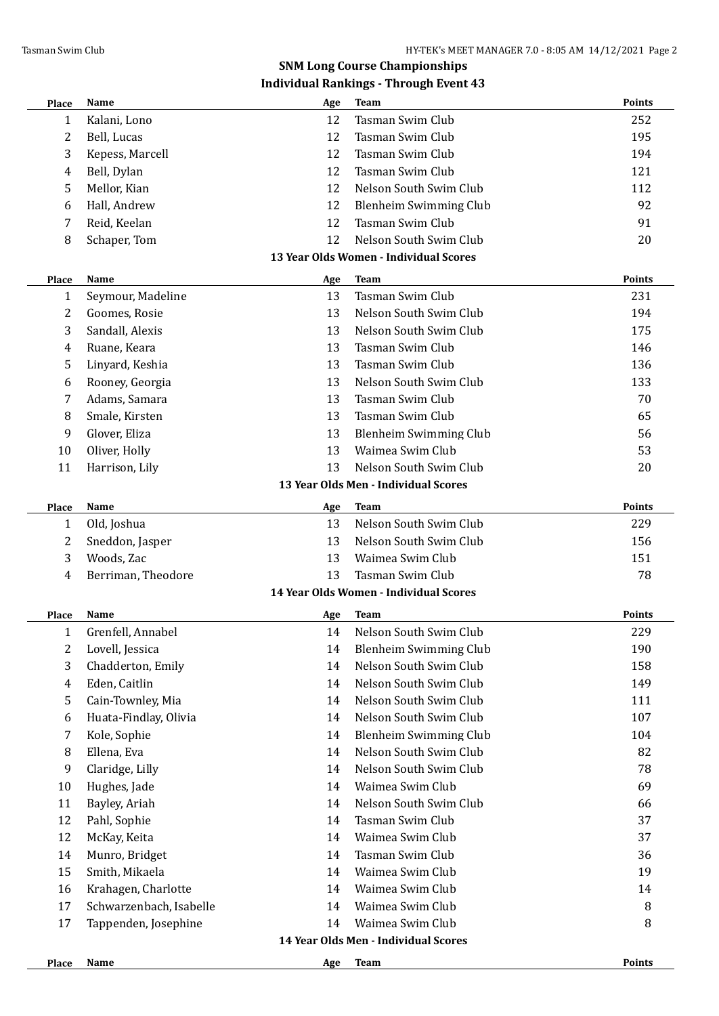# **SNM Long Course Championships**

| <b>Place</b> | Name                    | Age | Team                                   | Points        |
|--------------|-------------------------|-----|----------------------------------------|---------------|
| $\mathbf{1}$ | Kalani, Lono            | 12  | Tasman Swim Club                       | 252           |
| 2            | Bell, Lucas             | 12  | <b>Tasman Swim Club</b>                | 195           |
| 3            | Kepess, Marcell         | 12  | Tasman Swim Club                       | 194           |
| 4            | Bell, Dylan             | 12  | <b>Tasman Swim Club</b>                | 121           |
| 5            | Mellor, Kian            | 12  | Nelson South Swim Club                 | 112           |
| 6            | Hall, Andrew            | 12  | <b>Blenheim Swimming Club</b>          | 92            |
| 7            | Reid, Keelan            | 12  | Tasman Swim Club                       | 91            |
| 8            | Schaper, Tom            | 12  | Nelson South Swim Club                 | 20            |
|              |                         |     | 13 Year Olds Women - Individual Scores |               |
| Place        | Name                    | Age | <b>Team</b>                            | <b>Points</b> |
| 1            | Seymour, Madeline       | 13  | Tasman Swim Club                       | 231           |
| 2            | Goomes, Rosie           | 13  | Nelson South Swim Club                 | 194           |
| 3            | Sandall, Alexis         | 13  | Nelson South Swim Club                 | 175           |
| 4            | Ruane, Keara            | 13  | Tasman Swim Club                       | 146           |
| 5            | Linyard, Keshia         | 13  | Tasman Swim Club                       | 136           |
| 6            | Rooney, Georgia         | 13  | Nelson South Swim Club                 | 133           |
| 7            | Adams, Samara           | 13  | Tasman Swim Club                       | 70            |
| 8            | Smale, Kirsten          | 13  | Tasman Swim Club                       | 65            |
| 9            | Glover, Eliza           | 13  | <b>Blenheim Swimming Club</b>          | 56            |
| 10           | Oliver, Holly           | 13  | Waimea Swim Club                       | 53            |
| 11           | Harrison, Lily          | 13  | Nelson South Swim Club                 | 20            |
|              |                         |     | 13 Year Olds Men - Individual Scores   |               |
| Place        | Name                    | Age | <b>Team</b>                            | <b>Points</b> |
| $\mathbf{1}$ | Old, Joshua             | 13  | Nelson South Swim Club                 | 229           |
| 2            | Sneddon, Jasper         | 13  | Nelson South Swim Club                 | 156           |
| 3            | Woods, Zac              | 13  | Waimea Swim Club                       | 151           |
| 4            | Berriman, Theodore      | 13  | Tasman Swim Club                       | 78            |
|              |                         |     | 14 Year Olds Women - Individual Scores |               |
| <b>Place</b> | Name                    | Age | <b>Team</b>                            | <b>Points</b> |
| $\mathbf{1}$ | Grenfell, Annabel       |     | 14 Nelson South Swim Club              | 229           |
| 2            | Lovell, Jessica         | 14  | Blenheim Swimming Club                 | 190           |
| 3            | Chadderton, Emily       | 14  | Nelson South Swim Club                 | 158           |
| 4            | Eden, Caitlin           | 14  | Nelson South Swim Club                 | 149           |
| 5            | Cain-Townley, Mia       | 14  | Nelson South Swim Club                 | 111           |
| 6            | Huata-Findlay, Olivia   | 14  | Nelson South Swim Club                 | 107           |
| 7            | Kole, Sophie            | 14  | <b>Blenheim Swimming Club</b>          | 104           |
| 8            | Ellena, Eva             | 14  | Nelson South Swim Club                 | 82            |
| 9            | Claridge, Lilly         | 14  | Nelson South Swim Club                 | 78            |
| 10           | Hughes, Jade            | 14  | Waimea Swim Club                       | 69            |
| 11           | Bayley, Ariah           | 14  | Nelson South Swim Club                 | 66            |
| 12           | Pahl, Sophie            | 14  | Tasman Swim Club                       | 37            |
| 12           |                         | 14  | Waimea Swim Club                       | 37            |
|              | McKay, Keita            |     | Tasman Swim Club                       |               |
| 14           | Munro, Bridget          | 14  |                                        | 36            |
| 15           | Smith, Mikaela          | 14  | Waimea Swim Club                       | 19            |
| 16           | Krahagen, Charlotte     | 14  | Waimea Swim Club                       | 14            |
| 17           | Schwarzenbach, Isabelle | 14  | Waimea Swim Club                       | 8             |
| 17           | Tappenden, Josephine    | 14  | Waimea Swim Club                       | 8             |
|              |                         |     | 14 Year Olds Men - Individual Scores   |               |
| <b>Place</b> | Name                    | Age | <b>Team</b>                            | Points        |